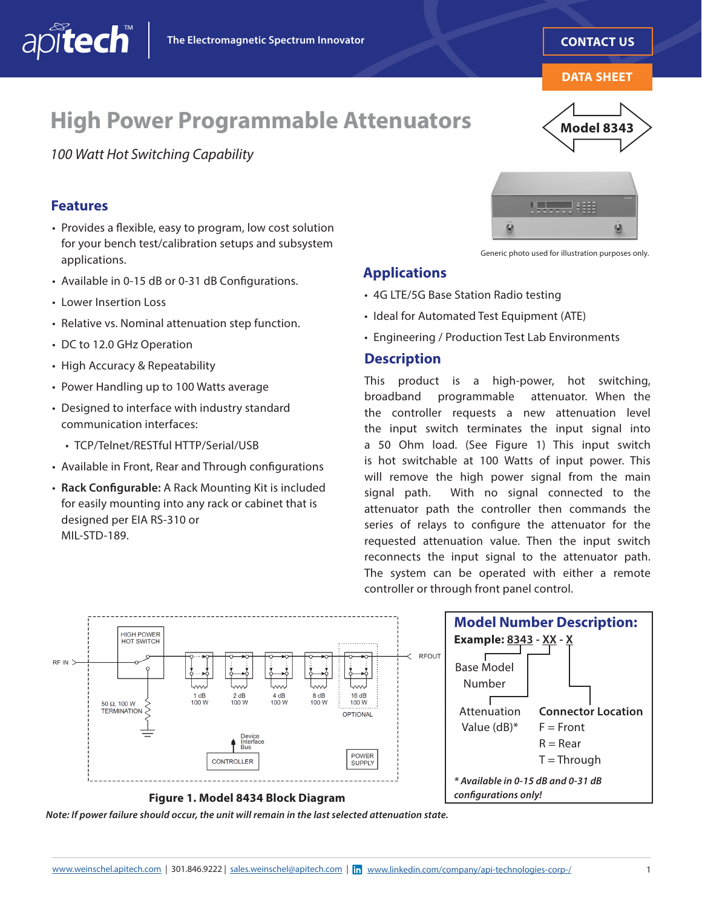**[CONTACT US](mailto:sales.weinschel%40apitech.com?subject=Data%20Sheet%20Inquiry%20-%20High%20Power%20Programmable%20Attenuator%20Model%208343)**

**DATA SHEET**

**Model 8343**

## **High Power Programmable Attenuators**

*100 Watt Hot Switching Capability*

#### **Features**

apitech

- Provides a fexible, easy to program, low cost solution for your bench test/calibration setups and subsystem applications.
- Available in 0-15 dB or 0-31 dB Confgurations.
- Lower Insertion Loss
- Relative vs. Nominal attenuation step function.
- DC to 12.0 GHz Operation
- High Accuracy & Repeatability
- Power Handling up to 100 Watts average
- Designed to interface with industry standard communication interfaces:
	- TCP/Telnet/RESTful HTTP/Serial/USB
- Available in Front, Rear and Through confgurations
- **Rack Confgurable:** A Rack Mounting Kit is included for easily mounting into any rack or cabinet that is designed per EIA RS-310 or MIL-STD-189.



Generic photo used for illustration purposes only.

#### **Applications**

- 4G LTE/5G Base Station Radio testing
- Ideal for Automated Test Equipment (ATE)
- Engineering / Production Test Lab Environments

#### **Description**

This product is a high-power, hot switching, broadband programmable attenuator. When the the controller requests a new attenuation level the input switch terminates the input signal into a 50 Ohm load. (See Figure 1) This input switch is hot switchable at 100 Watts of input power. This will remove the high power signal from the main signal path. With no signal connected to the attenuator path the controller then commands the series of relays to confgure the attenuator for the requested attenuation value. Then the input switch reconnects the input signal to the attenuator path. The system can be operated with either a remote controller or through front panel control.



*Note: If power failure should occur, the unit will remain in the last selected attenuation state.*